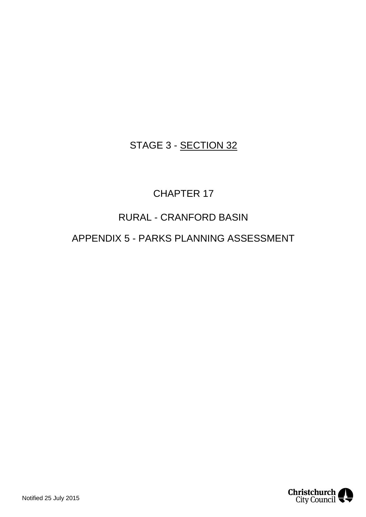## STAGE 3 - SECTION 32

# CHAPTER 17

## RURAL - CRANFORD BASIN

### APPENDIX 5 - PARKS PLANNING ASSESSMENT

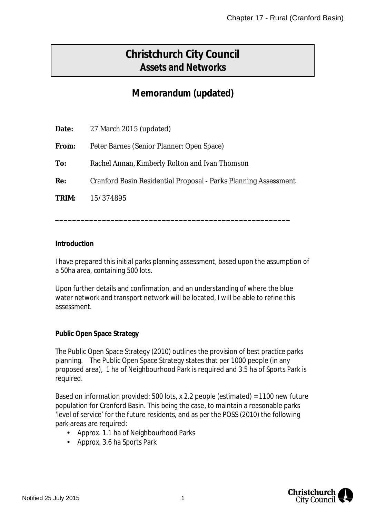# **Christchurch City Council Assets and Networks**

## **Memorandum (updated)**

| Date: | 27 March 2015 (updated)                                         |
|-------|-----------------------------------------------------------------|
| From: | Peter Barnes (Senior Planner: Open Space)                       |
| To:   | Rachel Annan, Kimberly Rolton and Ivan Thomson                  |
| Re:   | Cranford Basin Residential Proposal - Parks Planning Assessment |
| TRIM: | 15/374895                                                       |
|       |                                                                 |

**\_\_\_\_\_\_\_\_\_\_\_\_\_\_\_\_\_\_\_\_\_\_\_\_\_\_\_\_\_\_\_\_\_\_\_\_\_\_\_\_\_\_\_\_\_\_\_\_\_\_\_\_\_\_\_**

#### **Introduction**

I have prepared this initial parks planning assessment, based upon the assumption of a 50ha area, containing 500 lots.

Upon further details and confirmation, and an understanding of where the blue water network and transport network will be located, I will be able to refine this assessment.

**Public Open Space Strategy**

The Public Open Space Strategy (2010) outlines the provision of best practice parks planning. The Public Open Space Strategy states that per 1000 people (in any proposed area), 1 ha of Neighbourhood Park is required and 3.5 ha of Sports Park is required.

Based on information provided: 500 lots, x 2.2 people (estimated) = 1100 new future population for Cranford Basin. This being the case, to maintain a reasonable parks 'level of service' for the future residents, and as per the POSS (2010) the following park areas are required:

- Approx. 1.1 ha of Neighbourhood Parks
- Approx. 3.6 ha Sports Park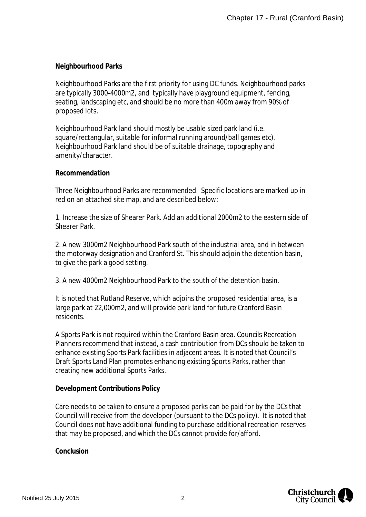### **Neighbourhood Parks**

Neighbourhood Parks are the first priority for using DC funds. Neighbourhood parks are typically 3000-4000m2, and typically have playground equipment, fencing, seating, landscaping etc, and should be no more than 400m away from 90% of proposed lots.

Neighbourhood Park land should mostly be usable sized park land (i.e. square/rectangular, suitable for informal running around/ball games etc). Neighbourhood Park land should be of suitable drainage, topography and amenity/character.

#### **Recommendation**

Three Neighbourhood Parks are recommended. Specific locations are marked up in red on an attached site map, and are described below:

1. Increase the size of Shearer Park. Add an additional 2000m2 to the eastern side of Shearer Park.

2. A new 3000m2 Neighbourhood Park south of the industrial area, and in between the motorway designation and Cranford St. This should adjoin the detention basin, to give the park a good setting.

3. A new 4000m2 Neighbourhood Park to the south of the detention basin.

It is noted that Rutland Reserve, which adjoins the proposed residential area, is a large park at 22,000m2, and will provide park land for future Cranford Basin residents.

A Sports Park is not required within the Cranford Basin area. Councils Recreation Planners recommend that instead, a cash contribution from DCs should be taken to enhance existing Sports Park facilities in adjacent areas. It is noted that Council's Draft Sports Land Plan promotes enhancing existing Sports Parks, rather than creating new additional Sports Parks.

#### **Development Contributions Policy**

Care needs to be taken to ensure a proposed parks can be paid for by the DCs that Council will receive from the developer (pursuant to the DCs policy). It is noted that Council does not have additional funding to purchase additional recreation reserves that may be proposed, and which the DCs cannot provide for/afford.

**Conclusion**